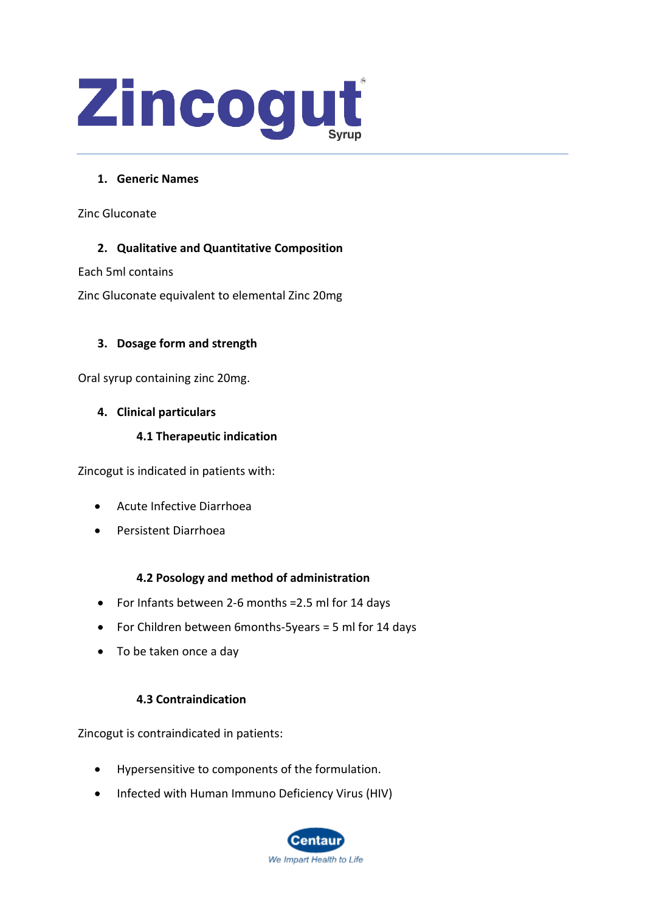

# **1. Generic Names**

Zinc Gluconate

# **2. Qualitative and Quantitative Composition**

Each 5ml contains

Zinc Gluconate equivalent to elemental Zinc 20mg

# **3. Dosage form and strength**

Oral syrup containing zinc 20mg.

# **4. Clinical particulars**

# **4.1 Therapeutic indication**

Zincogut is indicated in patients with:

- Acute Infective Diarrhoea
- Persistent Diarrhoea

# **4.2 Posology and method of administration**

- For Infants between 2-6 months =2.5 ml for 14 days
- For Children between 6months-5years = 5 ml for 14 days
- To be taken once a day

# **4.3 Contraindication**

Zincogut is contraindicated in patients:

- Hypersensitive to components of the formulation.
- Infected with Human Immuno Deficiency Virus (HIV)

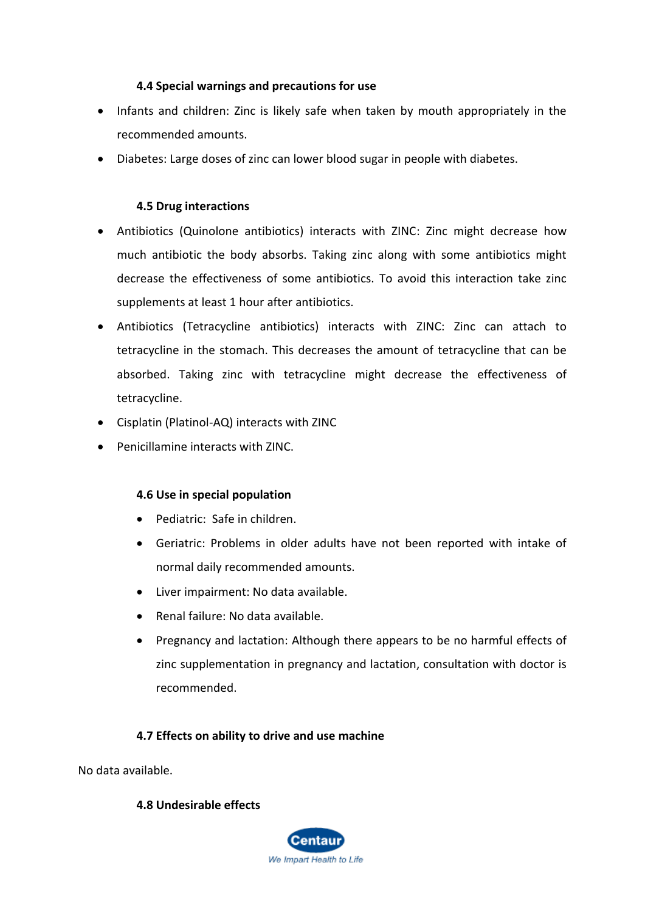# **4.4 Special warnings and precautions for use**

- Infants and children: Zinc is likely safe when taken by mouth appropriately in the recommended amounts.
- Diabetes: Large doses of zinc can lower blood sugar in people with diabetes.

## **4.5 Drug interactions**

- Antibiotics (Quinolone antibiotics) interacts with ZINC: Zinc might decrease how much antibiotic the body absorbs. Taking zinc along with some antibiotics might decrease the effectiveness of some antibiotics. To avoid this interaction take zinc supplements at least 1 hour after antibiotics.
- Antibiotics (Tetracycline antibiotics) interacts with ZINC: Zinc can attach to tetracycline in the stomach. This decreases the amount of tetracycline that can be absorbed. Taking zinc with tetracycline might decrease the effectiveness of tetracycline.
- Cisplatin (Platinol-AQ) interacts with ZINC
- Penicillamine interacts with ZINC.

## **4.6 Use in special population**

- Pediatric: Safe in children.
- Geriatric: Problems in older adults have not been reported with intake of normal daily recommended amounts.
- Liver impairment: No data available.
- Renal failure: No data available.
- Pregnancy and lactation: Although there appears to be no harmful effects of zinc supplementation in pregnancy and lactation, consultation with doctor is recommended.

## **4.7 Effects on ability to drive and use machine**

No data available.

## **4.8 Undesirable effects**

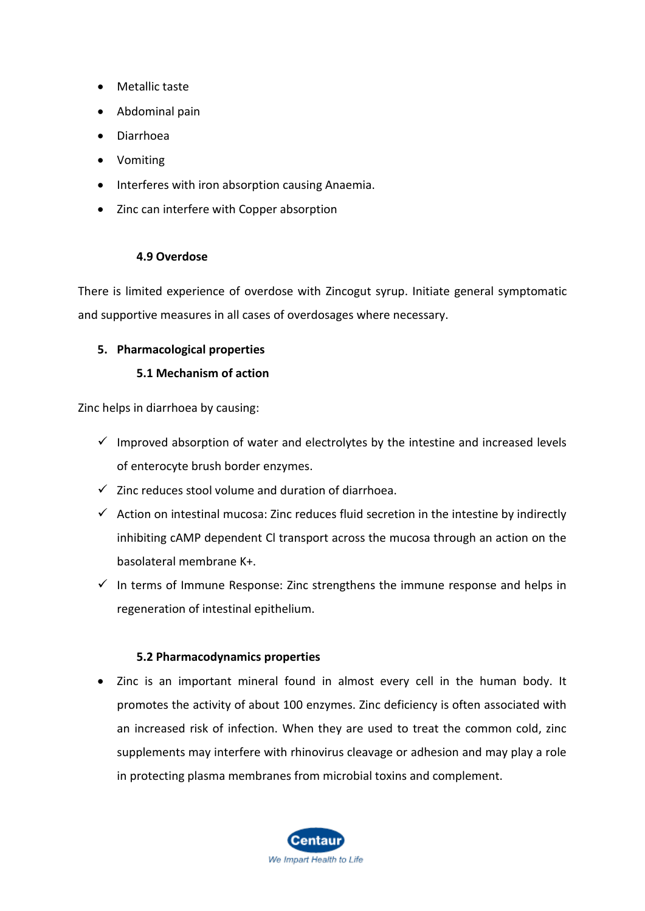- Metallic taste
- Abdominal pain
- Diarrhoea
- Vomiting
- Interferes with iron absorption causing Anaemia.
- Zinc can interfere with Copper absorption

## **4.9 Overdose**

There is limited experience of overdose with Zincogut syrup. Initiate general symptomatic and supportive measures in all cases of overdosages where necessary.

## **5. Pharmacological properties**

## **5.1 Mechanism of action**

Zinc helps in diarrhoea by causing:

- $\checkmark$  Improved absorption of water and electrolytes by the intestine and increased levels of enterocyte brush border enzymes.
- $\checkmark$  Zinc reduces stool volume and duration of diarrhoea.
- $\checkmark$  Action on intestinal mucosa: Zinc reduces fluid secretion in the intestine by indirectly inhibiting cAMP dependent Cl transport across the mucosa through an action on the basolateral membrane K+.
- $\checkmark$  In terms of Immune Response: Zinc strengthens the immune response and helps in regeneration of intestinal epithelium.

## **5.2 Pharmacodynamics properties**

• Zinc is an important mineral found in almost every cell in the human body. It promotes the activity of about 100 enzymes. Zinc deficiency is often associated with an increased risk of infection. When they are used to treat the common cold, zinc supplements may interfere with rhinovirus cleavage or adhesion and may play a role in protecting plasma membranes from microbial toxins and complement.

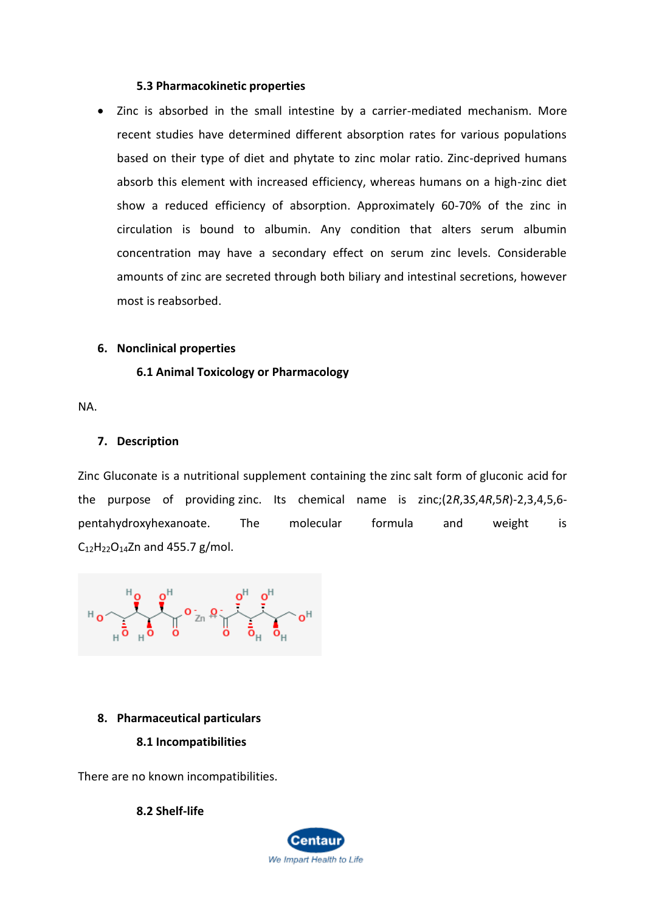#### **5.3 Pharmacokinetic properties**

• Zinc is absorbed in the small intestine by a carrier-mediated mechanism. More recent studies have determined different absorption rates for various populations based on their type of diet and phytate to zinc molar ratio. Zinc-deprived humans absorb this element with increased efficiency, whereas humans on a high-zinc diet show a reduced efficiency of absorption. Approximately 60-70% of the zinc in circulation is bound to albumin. Any condition that alters serum albumin concentration may have a secondary effect on serum zinc levels. Considerable amounts of zinc are secreted through both biliary and intestinal secretions, however most is reabsorbed.

#### **6. Nonclinical properties**

## **6.1 Animal Toxicology or Pharmacology**

NA.

#### **7. Description**

Zinc Gluconate is a nutritional supplement containing the [zinc](https://pubchem.ncbi.nlm.nih.gov/element/Zinc) salt form of [gluconic acid](https://pubchem.ncbi.nlm.nih.gov/compound/gluconic%20acid) for the purpose of providing [zinc.](https://pubchem.ncbi.nlm.nih.gov/element/Zinc) Its chemical name is zinc;(2*R*,3*S*,4*R*,5*R*)-2,3,4,5,6 pentahydroxyhexanoate. The molecular formula and weight is  $C_{12}H_{22}O_{14}Zn$  $C_{12}H_{22}O_{14}Zn$  and 455.7 g/mol.

 $\frac{1}{2}$   $\frac{1}{2}$   $\frac{1}{2}$   $\frac{1}{2}$   $\frac{1}{2}$   $\frac{1}{2}$   $\frac{1}{2}$   $\frac{1}{2}$   $\frac{1}{2}$   $\frac{1}{2}$   $\frac{1}{2}$   $\frac{1}{2}$   $\frac{1}{2}$   $\frac{1}{2}$   $\frac{1}{2}$   $\frac{1}{2}$   $\frac{1}{2}$   $\frac{1}{2}$   $\frac{1}{2}$   $\frac{1}{2}$   $\frac{1}{2}$   $\frac{1}{2}$ 

#### **8. Pharmaceutical particulars**

#### **8.1 Incompatibilities**

There are no known incompatibilities.

**8.2 Shelf-life**

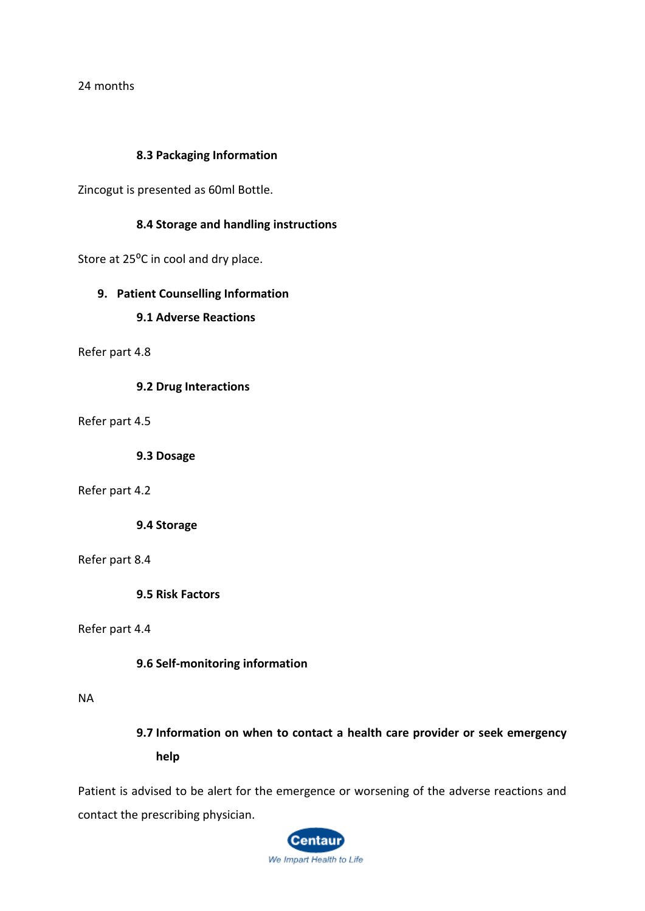24 months

#### **8.3 Packaging Information**

Zincogut is presented as 60ml Bottle.

## **8.4 Storage and handling instructions**

Store at 25<sup>o</sup>C in cool and dry place.

#### **9. Patient Counselling Information**

#### **9.1 Adverse Reactions**

Refer part 4.8

**9.2 Drug Interactions**

Refer part 4.5

**9.3 Dosage**

#### Refer part 4.2

**9.4 Storage**

#### Refer part 8.4

**9.5 Risk Factors**

#### Refer part 4.4

**9.6 Self-monitoring information**

#### NA

**9.7 Information on when to contact a health care provider or seek emergency help**

Patient is advised to be alert for the emergence or worsening of the adverse reactions and contact the prescribing physician.